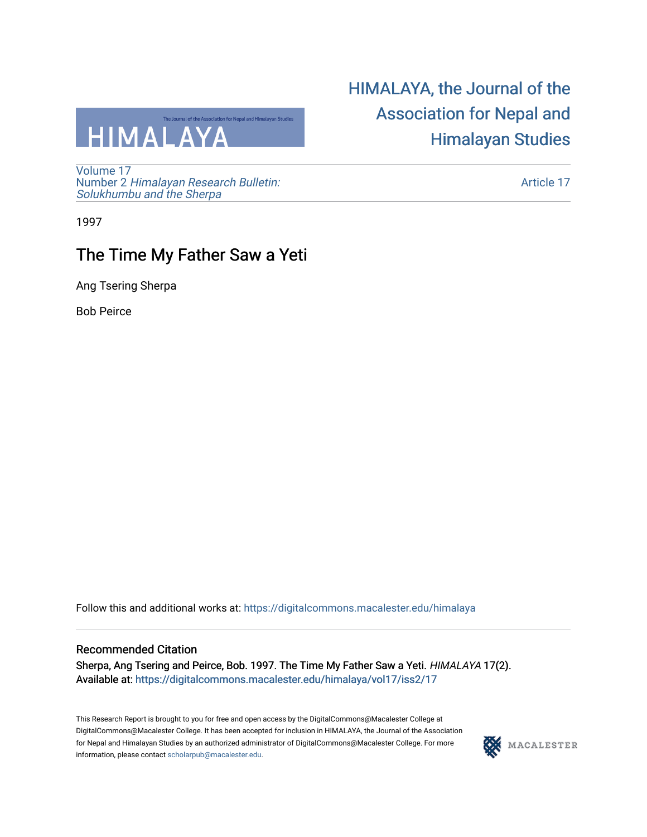

[Volume 17](https://digitalcommons.macalester.edu/himalaya/vol17) Number 2 [Himalayan Research Bulletin:](https://digitalcommons.macalester.edu/himalaya/vol17/iss2)  [Solukhumbu and the Sherpa](https://digitalcommons.macalester.edu/himalaya/vol17/iss2)

## [HIMALAYA, the Journal of the](https://digitalcommons.macalester.edu/himalaya)  [Association for Nepal and](https://digitalcommons.macalester.edu/himalaya)  [Himalayan Studies](https://digitalcommons.macalester.edu/himalaya)

[Article 17](https://digitalcommons.macalester.edu/himalaya/vol17/iss2/17) 

1997

## The Time My Father Saw a Yeti

Ang Tsering Sherpa

Bob Peirce

Follow this and additional works at: [https://digitalcommons.macalester.edu/himalaya](https://digitalcommons.macalester.edu/himalaya?utm_source=digitalcommons.macalester.edu%2Fhimalaya%2Fvol17%2Fiss2%2F17&utm_medium=PDF&utm_campaign=PDFCoverPages)

## Recommended Citation

Sherpa, Ang Tsering and Peirce, Bob. 1997. The Time My Father Saw a Yeti. HIMALAYA 17(2). Available at: https:/[/digitalcommons.macalester.edu/himala](https://digitalcommons.macalester.edu/himalaya/vol17/iss2/17?utm_source=digitalcommons.macalester.edu%2Fhimalaya%2Fvol17%2Fiss2%2F17&utm_medium=PDF&utm_campaign=PDFCoverPages)ya/vol17/iss2/17

This Research Report is brought to you for free and open access by the DigitalCommons@Macalester College at DigitalCommons@Macalester College. It has been accepted for inclusion in HIMALAYA, the Journal of the Association for Nepal and Himalayan Studies by an authorized administrator of DigitalCommons@Macalester College. For more information, please contact [scholarpub@macalester.edu](mailto:scholarpub@macalester.edu).